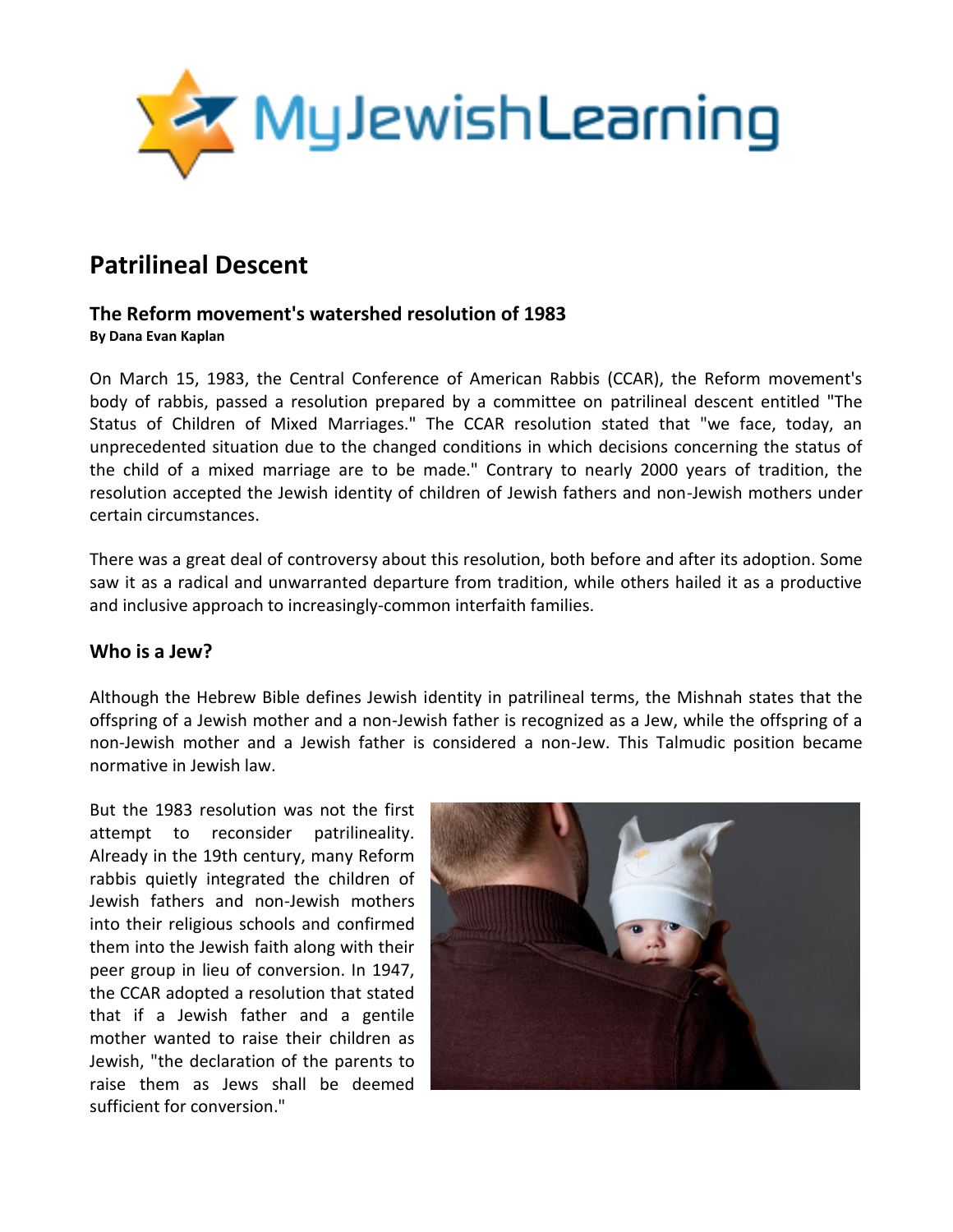

# **Patrilineal Descent**

#### **The Reform movement's watershed resolution of 1983 By Dana Evan Kaplan**

On March 15, 1983, the Central Conference of American Rabbis (CCAR), the Reform movement's body of rabbis, passed a resolution prepared by a committee on patrilineal descent entitled "The Status of Children of Mixed Marriages." The CCAR resolution stated that "we face, today, an unprecedented situation due to the changed conditions in which decisions concerning the status of the child of a mixed marriage are to be made." Contrary to nearly 2000 years of tradition, the resolution accepted the Jewish identity of children of Jewish fathers and non-Jewish mothers under certain circumstances.

There was a great deal of controversy about this resolution, both before and after its adoption. Some saw it as a radical and unwarranted departure from tradition, while others hailed it as a productive and inclusive approach to increasingly-common interfaith families.

#### **Who is a Jew?**

Although the Hebrew Bible defines Jewish identity in patrilineal terms, the Mishnah states that the offspring of a Jewish mother and a non-Jewish father is recognized as a Jew, while the offspring of a non-Jewish mother and a Jewish father is considered a non-Jew. This Talmudic position became normative in Jewish law.

But the 1983 resolution was not the first attempt to reconsider patrilineality. Already in the 19th century, many Reform rabbis quietly integrated the children of Jewish fathers and non-Jewish mothers into their religious schools and confirmed them into the Jewish faith along with their peer group in lieu of conversion. In 1947, the CCAR adopted a resolution that stated that if a Jewish father and a gentile mother wanted to raise their children as Jewish, "the declaration of the parents to raise them as Jews shall be deemed sufficient for conversion."

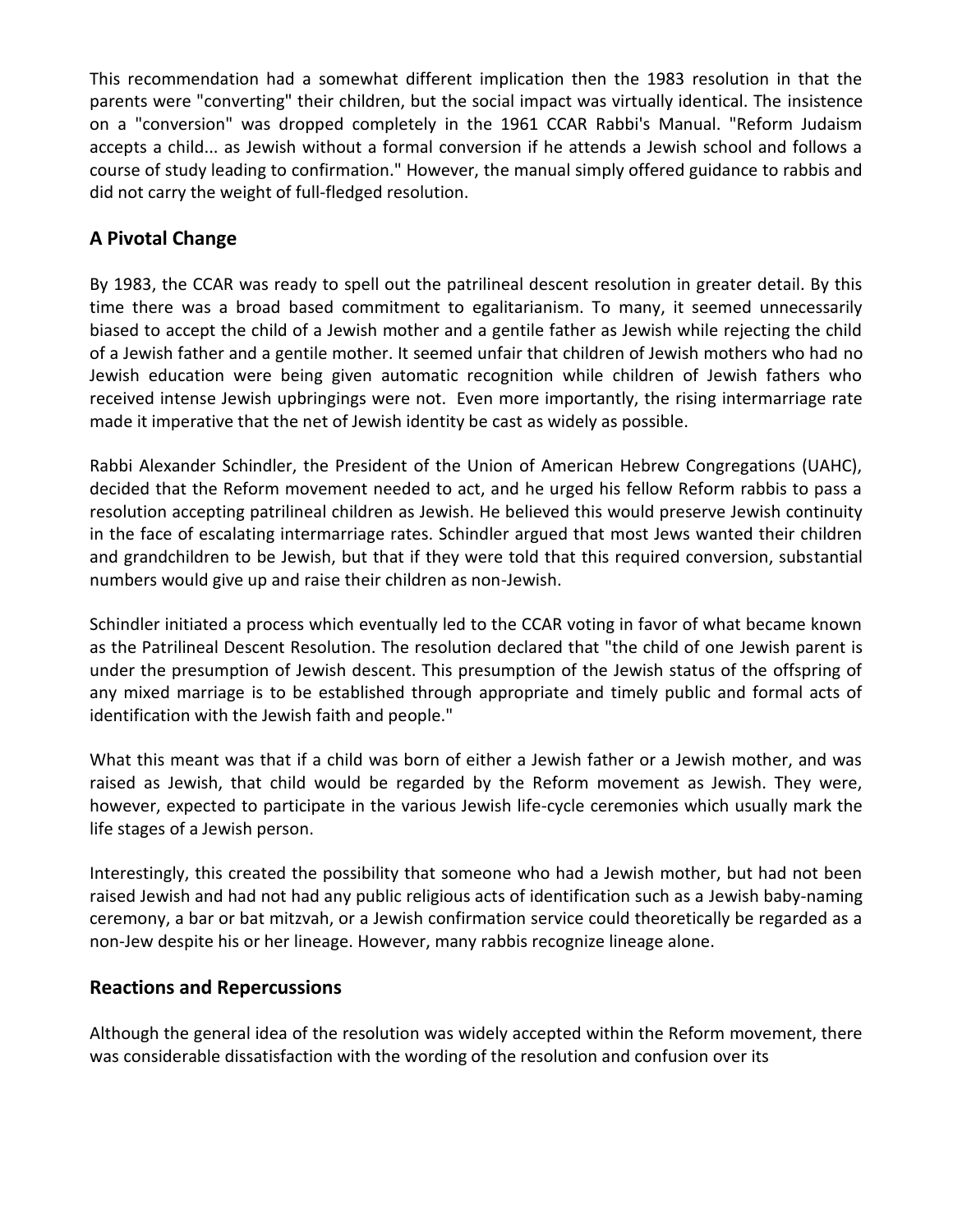This recommendation had a somewhat different implication then the 1983 resolution in that the parents were "converting" their children, but the social impact was virtually identical. The insistence on a "conversion" was dropped completely in the 1961 CCAR Rabbi's Manual. "Reform Judaism accepts a child... as Jewish without a formal conversion if he attends a Jewish school and follows a course of study leading to confirmation." However, the manual simply offered guidance to rabbis and did not carry the weight of full-fledged resolution.

# **A Pivotal Change**

By 1983, the CCAR was ready to spell out the patrilineal descent resolution in greater detail. By this time there was a broad based commitment to egalitarianism. To many, it seemed unnecessarily biased to accept the child of a Jewish mother and a gentile father as Jewish while rejecting the child of a Jewish father and a gentile mother. It seemed unfair that children of Jewish mothers who had no Jewish education were being given automatic recognition while children of Jewish fathers who received intense Jewish upbringings were not. Even more importantly, the rising intermarriage rate made it imperative that the net of Jewish identity be cast as widely as possible.

Rabbi Alexander Schindler, the President of the Union of American Hebrew Congregations (UAHC), decided that the Reform movement needed to act, and he urged his fellow Reform rabbis to pass a resolution accepting patrilineal children as Jewish. He believed this would preserve Jewish continuity in the face of escalating intermarriage rates. Schindler argued that most Jews wanted their children and grandchildren to be Jewish, but that if they were told that this required conversion, substantial numbers would give up and raise their children as non-Jewish.

Schindler initiated a process which eventually led to the CCAR voting in favor of what became known as the Patrilineal Descent Resolution. The resolution declared that "the child of one Jewish parent is under the presumption of Jewish descent. This presumption of the Jewish status of the offspring of any mixed marriage is to be established through appropriate and timely public and formal acts of identification with the Jewish faith and people."

What this meant was that if a child was born of either a Jewish father or a Jewish mother, and was raised as Jewish, that child would be regarded by the Reform movement as Jewish. They were, however, expected to participate in the various Jewish life-cycle ceremonies which usually mark the life stages of a Jewish person.

Interestingly, this created the possibility that someone who had a Jewish mother, but had not been raised Jewish and had not had any public religious acts of identification such as a Jewish baby-naming ceremony, a bar or bat mitzvah, or a Jewish confirmation service could theoretically be regarded as a non-Jew despite his or her lineage. However, many rabbis recognize lineage alone.

## **Reactions and Repercussions**

Although the general idea of the resolution was widely accepted within the Reform movement, there was considerable dissatisfaction with the wording of the resolution and confusion over its